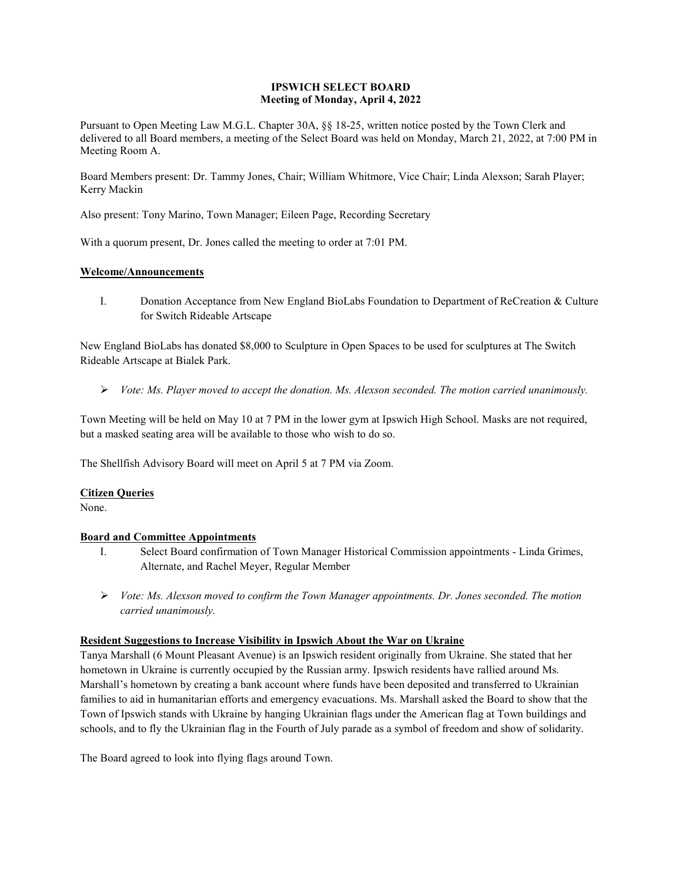### **IPSWICH SELECT BOARD Meeting of Monday, April 4, 2022**

Pursuant to Open Meeting Law M.G.L. Chapter 30A, §§ 18-25, written notice posted by the Town Clerk and delivered to all Board members, a meeting of the Select Board was held on Monday, March 21, 2022, at 7:00 PM in Meeting Room A.

Board Members present: Dr. Tammy Jones, Chair; William Whitmore, Vice Chair; Linda Alexson; Sarah Player; Kerry Mackin

Also present: Tony Marino, Town Manager; Eileen Page, Recording Secretary

With a quorum present, Dr. Jones called the meeting to order at 7:01 PM.

### **Welcome/Announcements**

I. Donation Acceptance from New England BioLabs Foundation to Department of ReCreation & Culture for Switch Rideable Artscape

New England BioLabs has donated \$8,000 to Sculpture in Open Spaces to be used for sculptures at The Switch Rideable Artscape at Bialek Park.

*Vote: Ms. Player moved to accept the donation. Ms. Alexson seconded. The motion carried unanimously.* 

Town Meeting will be held on May 10 at 7 PM in the lower gym at Ipswich High School. Masks are not required, but a masked seating area will be available to those who wish to do so.

The Shellfish Advisory Board will meet on April 5 at 7 PM via Zoom.

### **Citizen Queries**

None.

### **Board and Committee Appointments**

- I. Select Board confirmation of Town Manager Historical Commission appointments Linda Grimes, Alternate, and Rachel Meyer, Regular Member
- *Vote: Ms. Alexson moved to confirm the Town Manager appointments. Dr. Jones seconded. The motion carried unanimously.*

### **Resident Suggestions to Increase Visibility in Ipswich About the War on Ukraine**

Tanya Marshall (6 Mount Pleasant Avenue) is an Ipswich resident originally from Ukraine. She stated that her hometown in Ukraine is currently occupied by the Russian army. Ipswich residents have rallied around Ms. Marshall's hometown by creating a bank account where funds have been deposited and transferred to Ukrainian families to aid in humanitarian efforts and emergency evacuations. Ms. Marshall asked the Board to show that the Town of Ipswich stands with Ukraine by hanging Ukrainian flags under the American flag at Town buildings and schools, and to fly the Ukrainian flag in the Fourth of July parade as a symbol of freedom and show of solidarity.

The Board agreed to look into flying flags around Town.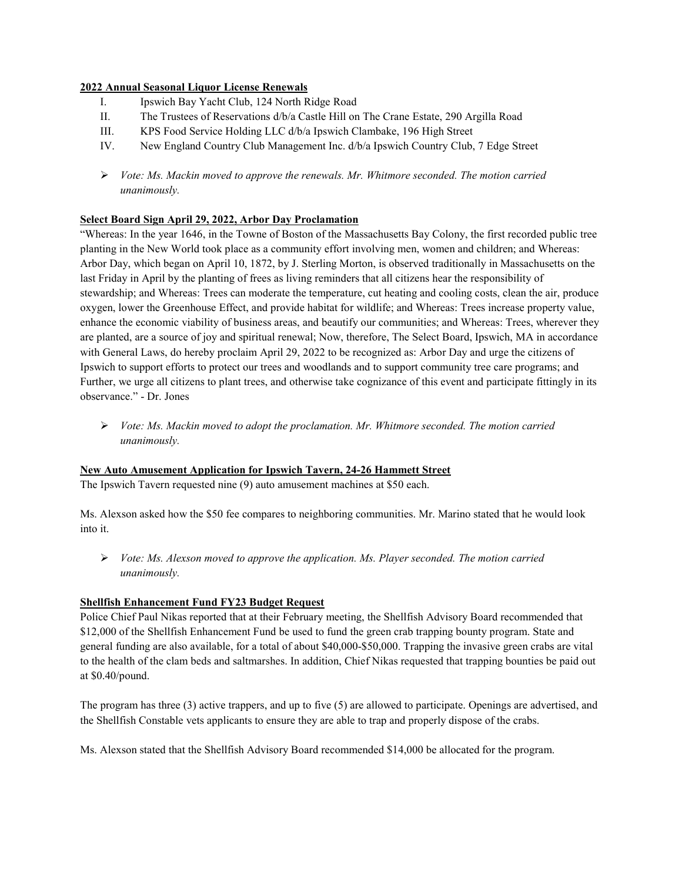### **2022 Annual Seasonal Liquor License Renewals**

- I. Ipswich Bay Yacht Club, 124 North Ridge Road
- II. The Trustees of Reservations d/b/a Castle Hill on The Crane Estate, 290 Argilla Road
- III. KPS Food Service Holding LLC d/b/a Ipswich Clambake, 196 High Street
- IV. New England Country Club Management Inc. d/b/a Ipswich Country Club, 7 Edge Street
- *Vote: Ms. Mackin moved to approve the renewals. Mr. Whitmore seconded. The motion carried unanimously.*

### **Select Board Sign April 29, 2022, Arbor Day Proclamation**

"Whereas: In the year 1646, in the Towne of Boston of the Massachusetts Bay Colony, the first recorded public tree planting in the New World took place as a community effort involving men, women and children; and Whereas: Arbor Day, which began on April 10, 1872, by J. Sterling Morton, is observed traditionally in Massachusetts on the last Friday in April by the planting of frees as living reminders that all citizens hear the responsibility of stewardship; and Whereas: Trees can moderate the temperature, cut heating and cooling costs, clean the air, produce oxygen, lower the Greenhouse Effect, and provide habitat for wildlife; and Whereas: Trees increase property value, enhance the economic viability of business areas, and beautify our communities; and Whereas: Trees, wherever they are planted, are a source of joy and spiritual renewal; Now, therefore, The Select Board, Ipswich, MA in accordance with General Laws, do hereby proclaim April 29, 2022 to be recognized as: Arbor Day and urge the citizens of Ipswich to support efforts to protect our trees and woodlands and to support community tree care programs; and Further, we urge all citizens to plant trees, and otherwise take cognizance of this event and participate fittingly in its observance." - Dr. Jones

 *Vote: Ms. Mackin moved to adopt the proclamation. Mr. Whitmore seconded. The motion carried unanimously.* 

### **New Auto Amusement Application for Ipswich Tavern, 24-26 Hammett Street**

The Ipswich Tavern requested nine (9) auto amusement machines at \$50 each.

Ms. Alexson asked how the \$50 fee compares to neighboring communities. Mr. Marino stated that he would look into it.

 *Vote: Ms. Alexson moved to approve the application. Ms. Player seconded. The motion carried unanimously.* 

### **Shellfish Enhancement Fund FY23 Budget Request**

Police Chief Paul Nikas reported that at their February meeting, the Shellfish Advisory Board recommended that \$12,000 of the Shellfish Enhancement Fund be used to fund the green crab trapping bounty program. State and general funding are also available, for a total of about \$40,000-\$50,000. Trapping the invasive green crabs are vital to the health of the clam beds and saltmarshes. In addition, Chief Nikas requested that trapping bounties be paid out at \$0.40/pound.

The program has three (3) active trappers, and up to five (5) are allowed to participate. Openings are advertised, and the Shellfish Constable vets applicants to ensure they are able to trap and properly dispose of the crabs.

Ms. Alexson stated that the Shellfish Advisory Board recommended \$14,000 be allocated for the program.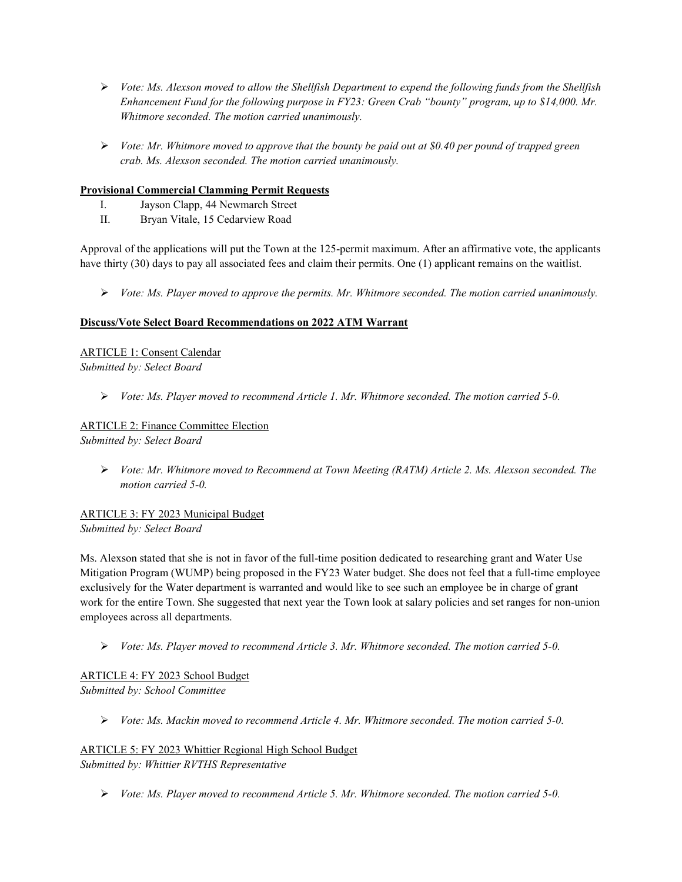- *Vote: Ms. Alexson moved to allow the Shellfish Department to expend the following funds from the Shellfish Enhancement Fund for the following purpose in FY23: Green Crab "bounty" program, up to \$14,000. Mr. Whitmore seconded. The motion carried unanimously.*
- *Vote: Mr. Whitmore moved to approve that the bounty be paid out at \$0.40 per pound of trapped green crab. Ms. Alexson seconded. The motion carried unanimously.*

### **Provisional Commercial Clamming Permit Requests**

- I. Jayson Clapp, 44 Newmarch Street
- II. Bryan Vitale, 15 Cedarview Road

Approval of the applications will put the Town at the 125-permit maximum. After an affirmative vote, the applicants have thirty (30) days to pay all associated fees and claim their permits. One (1) applicant remains on the waitlist.

*Vote: Ms. Player moved to approve the permits. Mr. Whitmore seconded. The motion carried unanimously.* 

### **Discuss/Vote Select Board Recommendations on 2022 ATM Warrant**

ARTICLE 1: Consent Calendar *Submitted by: Select Board* 

*Vote: Ms. Player moved to recommend Article 1. Mr. Whitmore seconded. The motion carried 5-0.* 

# ARTICLE 2: Finance Committee Election

*Submitted by: Select Board* 

 *Vote: Mr. Whitmore moved to Recommend at Town Meeting (RATM) Article 2. Ms. Alexson seconded. The motion carried 5-0.* 

ARTICLE 3: FY 2023 Municipal Budget *Submitted by: Select Board* 

Ms. Alexson stated that she is not in favor of the full-time position dedicated to researching grant and Water Use Mitigation Program (WUMP) being proposed in the FY23 Water budget. She does not feel that a full-time employee exclusively for the Water department is warranted and would like to see such an employee be in charge of grant work for the entire Town. She suggested that next year the Town look at salary policies and set ranges for non-union employees across all departments.

*Vote: Ms. Player moved to recommend Article 3. Mr. Whitmore seconded. The motion carried 5-0.* 

ARTICLE 4: FY 2023 School Budget *Submitted by: School Committee* 

*Vote: Ms. Mackin moved to recommend Article 4. Mr. Whitmore seconded. The motion carried 5-0.* 

ARTICLE 5: FY 2023 Whittier Regional High School Budget *Submitted by: Whittier RVTHS Representative* 

*Vote: Ms. Player moved to recommend Article 5. Mr. Whitmore seconded. The motion carried 5-0.*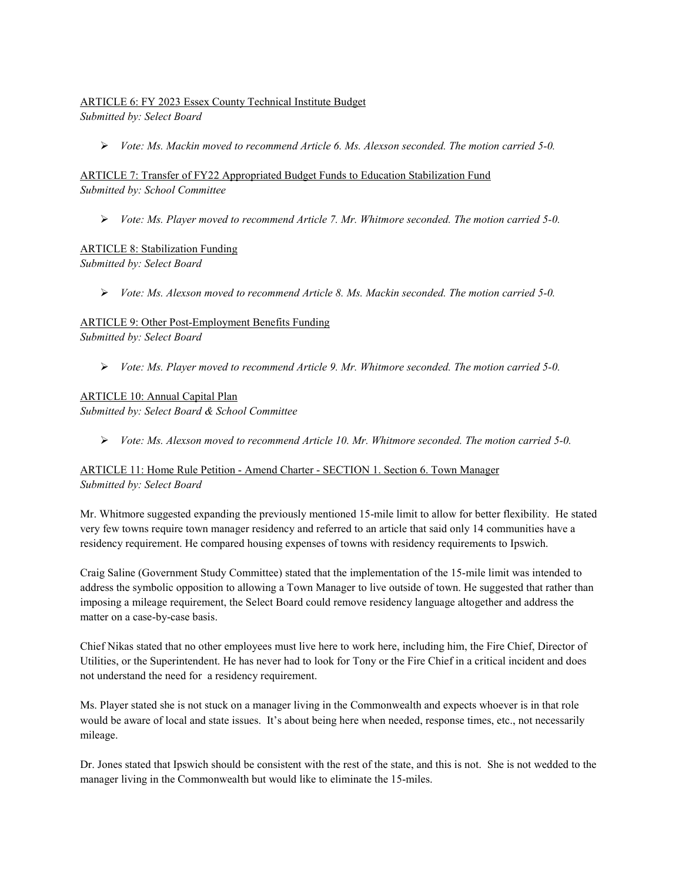### ARTICLE 6: FY 2023 Essex County Technical Institute Budget

*Submitted by: Select Board* 

*Vote: Ms. Mackin moved to recommend Article 6. Ms. Alexson seconded. The motion carried 5-0.* 

ARTICLE 7: Transfer of FY22 Appropriated Budget Funds to Education Stabilization Fund *Submitted by: School Committee* 

*Vote: Ms. Player moved to recommend Article 7. Mr. Whitmore seconded. The motion carried 5-0.* 

## ARTICLE 8: Stabilization Funding

*Submitted by: Select Board* 

*Vote: Ms. Alexson moved to recommend Article 8. Ms. Mackin seconded. The motion carried 5-0.* 

### ARTICLE 9: Other Post-Employment Benefits Funding

*Submitted by: Select Board* 

*Vote: Ms. Player moved to recommend Article 9. Mr. Whitmore seconded. The motion carried 5-0.* 

### ARTICLE 10: Annual Capital Plan

*Submitted by: Select Board & School Committee* 

*Vote: Ms. Alexson moved to recommend Article 10. Mr. Whitmore seconded. The motion carried 5-0.* 

### ARTICLE 11: Home Rule Petition - Amend Charter - SECTION 1. Section 6. Town Manager *Submitted by: Select Board*

Mr. Whitmore suggested expanding the previously mentioned 15-mile limit to allow for better flexibility. He stated very few towns require town manager residency and referred to an article that said only 14 communities have a residency requirement. He compared housing expenses of towns with residency requirements to Ipswich.

Craig Saline (Government Study Committee) stated that the implementation of the 15-mile limit was intended to address the symbolic opposition to allowing a Town Manager to live outside of town. He suggested that rather than imposing a mileage requirement, the Select Board could remove residency language altogether and address the matter on a case-by-case basis.

Chief Nikas stated that no other employees must live here to work here, including him, the Fire Chief, Director of Utilities, or the Superintendent. He has never had to look for Tony or the Fire Chief in a critical incident and does not understand the need for a residency requirement.

Ms. Player stated she is not stuck on a manager living in the Commonwealth and expects whoever is in that role would be aware of local and state issues. It's about being here when needed, response times, etc., not necessarily mileage.

Dr. Jones stated that Ipswich should be consistent with the rest of the state, and this is not. She is not wedded to the manager living in the Commonwealth but would like to eliminate the 15-miles.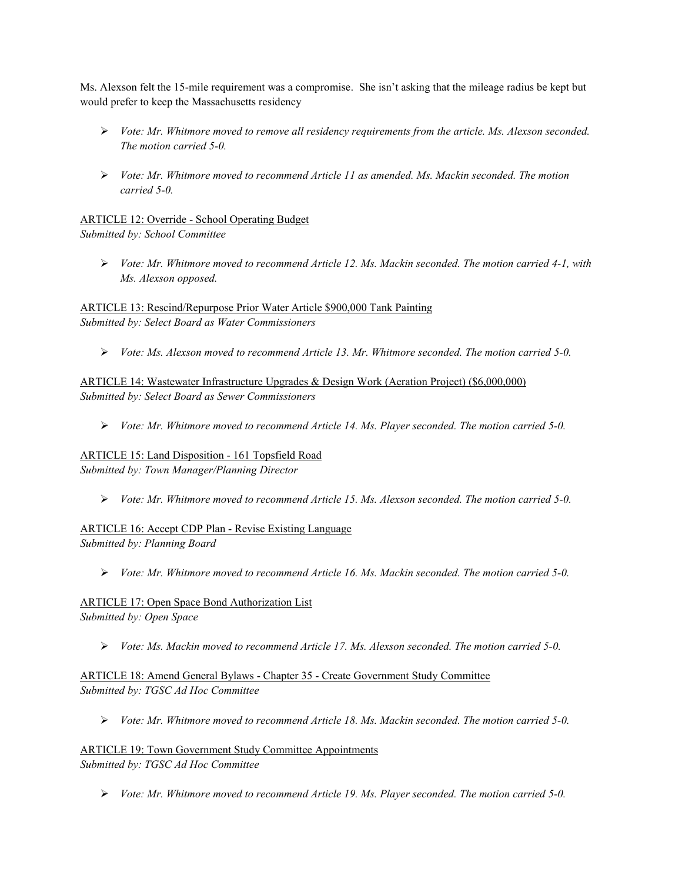Ms. Alexson felt the 15-mile requirement was a compromise. She isn't asking that the mileage radius be kept but would prefer to keep the Massachusetts residency

- *Vote: Mr. Whitmore moved to remove all residency requirements from the article. Ms. Alexson seconded. The motion carried 5-0.*
- *Vote: Mr. Whitmore moved to recommend Article 11 as amended. Ms. Mackin seconded. The motion carried 5-0.*

ARTICLE 12: Override - School Operating Budget *Submitted by: School Committee* 

 *Vote: Mr. Whitmore moved to recommend Article 12. Ms. Mackin seconded. The motion carried 4-1, with Ms. Alexson opposed.* 

ARTICLE 13: Rescind/Repurpose Prior Water Article \$900,000 Tank Painting *Submitted by: Select Board as Water Commissioners* 

*Vote: Ms. Alexson moved to recommend Article 13. Mr. Whitmore seconded. The motion carried 5-0.* 

ARTICLE 14: Wastewater Infrastructure Upgrades & Design Work (Aeration Project) (\$6,000,000) *Submitted by: Select Board as Sewer Commissioners* 

*Vote: Mr. Whitmore moved to recommend Article 14. Ms. Player seconded. The motion carried 5-0.* 

ARTICLE 15: Land Disposition - 161 Topsfield Road *Submitted by: Town Manager/Planning Director* 

*Vote: Mr. Whitmore moved to recommend Article 15. Ms. Alexson seconded. The motion carried 5-0.* 

ARTICLE 16: Accept CDP Plan - Revise Existing Language *Submitted by: Planning Board* 

*Vote: Mr. Whitmore moved to recommend Article 16. Ms. Mackin seconded. The motion carried 5-0.* 

ARTICLE 17: Open Space Bond Authorization List *Submitted by: Open Space* 

*Vote: Ms. Mackin moved to recommend Article 17. Ms. Alexson seconded. The motion carried 5-0.* 

ARTICLE 18: Amend General Bylaws - Chapter 35 - Create Government Study Committee *Submitted by: TGSC Ad Hoc Committee* 

*Vote: Mr. Whitmore moved to recommend Article 18. Ms. Mackin seconded. The motion carried 5-0.* 

ARTICLE 19: Town Government Study Committee Appointments *Submitted by: TGSC Ad Hoc Committee* 

*Vote: Mr. Whitmore moved to recommend Article 19. Ms. Player seconded. The motion carried 5-0.*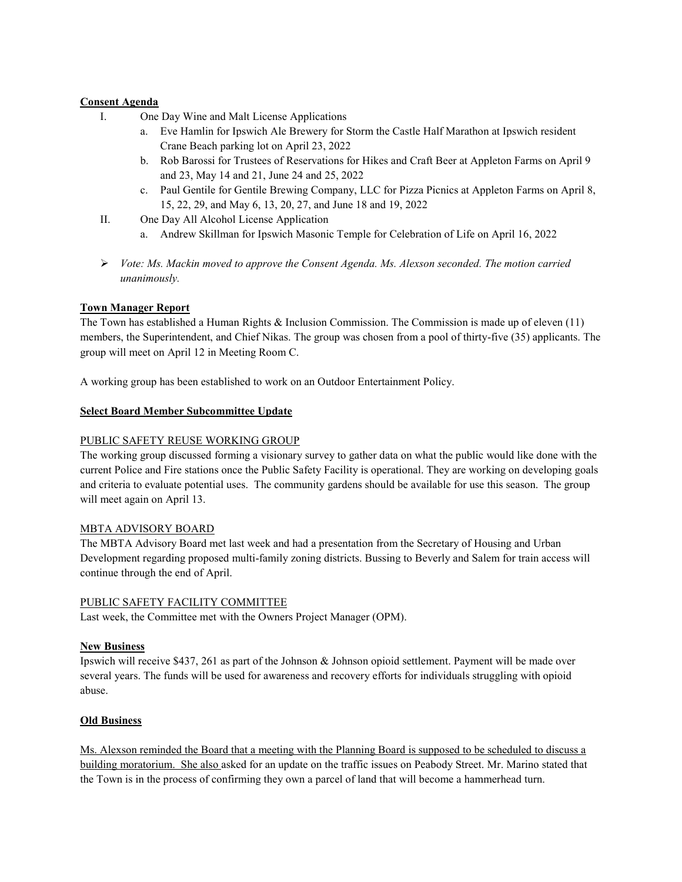### **Consent Agenda**

- I. One Day Wine and Malt License Applications
	- a. Eve Hamlin for Ipswich Ale Brewery for Storm the Castle Half Marathon at Ipswich resident Crane Beach parking lot on April 23, 2022
	- b. Rob Barossi for Trustees of Reservations for Hikes and Craft Beer at Appleton Farms on April 9 and 23, May 14 and 21, June 24 and 25, 2022
	- c. Paul Gentile for Gentile Brewing Company, LLC for Pizza Picnics at Appleton Farms on April 8, 15, 22, 29, and May 6, 13, 20, 27, and June 18 and 19, 2022
- II. One Day All Alcohol License Application
	- a. Andrew Skillman for Ipswich Masonic Temple for Celebration of Life on April 16, 2022
- *Vote: Ms. Mackin moved to approve the Consent Agenda. Ms. Alexson seconded. The motion carried unanimously.*

### **Town Manager Report**

The Town has established a Human Rights & Inclusion Commission. The Commission is made up of eleven (11) members, the Superintendent, and Chief Nikas. The group was chosen from a pool of thirty-five (35) applicants. The group will meet on April 12 in Meeting Room C.

A working group has been established to work on an Outdoor Entertainment Policy.

### **Select Board Member Subcommittee Update**

### PUBLIC SAFETY REUSE WORKING GROUP

The working group discussed forming a visionary survey to gather data on what the public would like done with the current Police and Fire stations once the Public Safety Facility is operational. They are working on developing goals and criteria to evaluate potential uses. The community gardens should be available for use this season. The group will meet again on April 13.

### MBTA ADVISORY BOARD

The MBTA Advisory Board met last week and had a presentation from the Secretary of Housing and Urban Development regarding proposed multi-family zoning districts. Bussing to Beverly and Salem for train access will continue through the end of April.

### PUBLIC SAFETY FACILITY COMMITTEE

Last week, the Committee met with the Owners Project Manager (OPM).

### **New Business**

Ipswich will receive \$437, 261 as part of the Johnson & Johnson opioid settlement. Payment will be made over several years. The funds will be used for awareness and recovery efforts for individuals struggling with opioid abuse.

### **Old Business**

Ms. Alexson reminded the Board that a meeting with the Planning Board is supposed to be scheduled to discuss a building moratorium. She also asked for an update on the traffic issues on Peabody Street. Mr. Marino stated that the Town is in the process of confirming they own a parcel of land that will become a hammerhead turn.